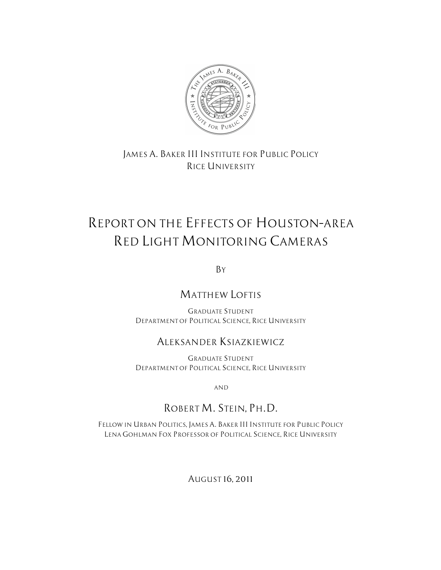

## *JAMES A. BAKER III INSTITUTE FOR PUBLIC POLICY RICE UNIVERSITY*

# *REPORT ON THE EFFECTS OF HOUSTON–AREA RED LIGHT MONITORING CAMERAS*

*BY*

# *MATTHEW LOFTIS*

*GRADUATE STUDENT DEPARTMENT OF POLITICAL SCIENCE, RICE UNIVERSITY*

## *ALEKSANDER KSIAZKIEWICZ*

*GRADUATE STUDENT DEPARTMENT OF POLITICAL SCIENCE, RICE UNIVERSITY*

*AND*

# *ROBERT M. STEIN, PH.D.*

*FELLOW IN URBAN POLITICS, JAMES A. BAKER III INSTITUTE FOR PUBLIC POLICY LENA GOHLMAN FOX PROFESSOR OF POLITICAL SCIENCE, RICE UNIVERSITY* 

*AUGUST 16, 2011*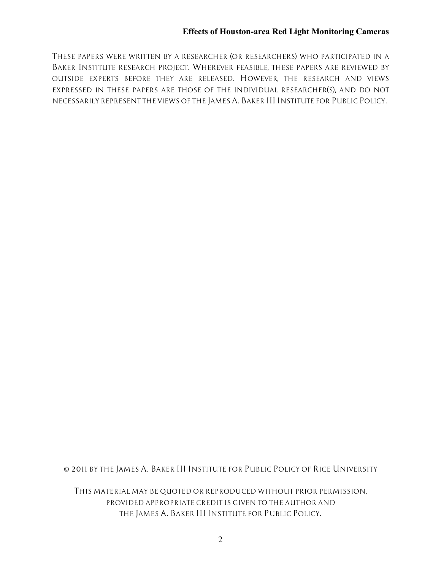*THESE PAPERS WERE WRITTEN BY A RESEARCHER (OR RESEARCHERS) WHO PARTICIPATED IN A BAKER INSTITUTE RESEARCH PROJECT. WHEREVER FEASIBLE, THESE PAPERS ARE REVIEWED BY OUTSIDE EXPERTS BEFORE THEY ARE RELEASED. HOWEVER, THE RESEARCH AND VIEWS EXPRESSED IN THESE PAPERS ARE THOSE OF THE INDIVIDUAL RESEARCHER(S), AND DO NOT NECESSARILY REPRESENT THE VIEWS OF THE JAMES A. BAKER III INSTITUTE FOR PUBLIC POLICY.*

*© 2011 BY THE JAMES A. BAKER III INSTITUTE FOR PUBLIC POLICY OF RICE UNIVERSITY*

*THIS MATERIAL MAY BE QUOTED OR REPRODUCED WITHOUT PRIOR PERMISSION, PROVIDED APPROPRIATE CREDIT IS GIVEN TO THE AUTHOR AND THE JAMES A. BAKER III INSTITUTE FOR PUBLIC POLICY.*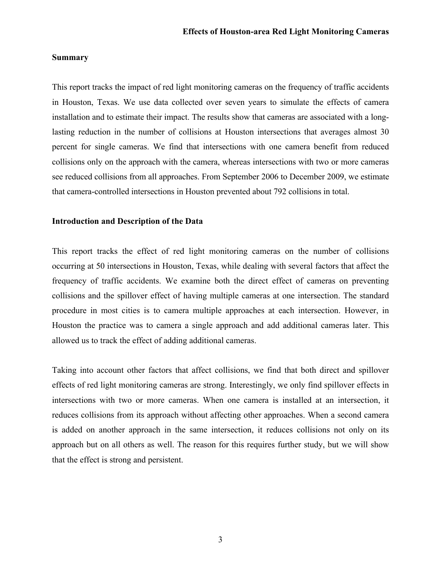#### **Summary**

This report tracks the impact of red light monitoring cameras on the frequency of traffic accidents in Houston, Texas. We use data collected over seven years to simulate the effects of camera installation and to estimate their impact. The results show that cameras are associated with a longlasting reduction in the number of collisions at Houston intersections that averages almost 30 percent for single cameras. We find that intersections with one camera benefit from reduced collisions only on the approach with the camera, whereas intersections with two or more cameras see reduced collisions from all approaches. From September 2006 to December 2009, we estimate that camera-controlled intersections in Houston prevented about 792 collisions in total.

#### **Introduction and Description of the Data**

This report tracks the effect of red light monitoring cameras on the number of collisions occurring at 50 intersections in Houston, Texas, while dealing with several factors that affect the frequency of traffic accidents. We examine both the direct effect of cameras on preventing collisions and the spillover effect of having multiple cameras at one intersection. The standard procedure in most cities is to camera multiple approaches at each intersection. However, in Houston the practice was to camera a single approach and add additional cameras later. This allowed us to track the effect of adding additional cameras.

Taking into account other factors that affect collisions, we find that both direct and spillover effects of red light monitoring cameras are strong. Interestingly, we only find spillover effects in intersections with two or more cameras. When one camera is installed at an intersection, it reduces collisions from its approach without affecting other approaches. When a second camera is added on another approach in the same intersection, it reduces collisions not only on its approach but on all others as well. The reason for this requires further study, but we will show that the effect is strong and persistent.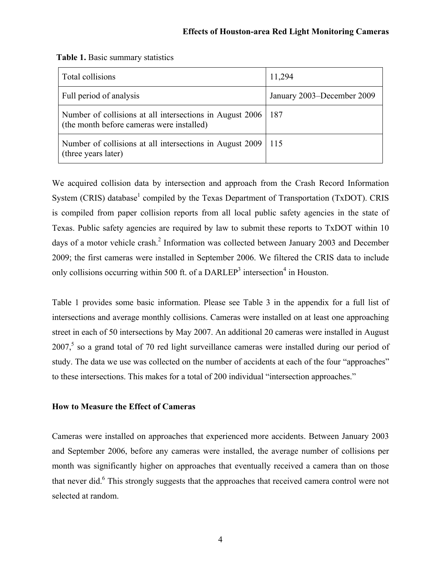| Total collisions                                                                                      | 11,294                     |
|-------------------------------------------------------------------------------------------------------|----------------------------|
| Full period of analysis                                                                               | January 2003–December 2009 |
| Number of collisions at all intersections in August 2006<br>(the month before cameras were installed) | 187                        |
| Number of collisions at all intersections in August 2009<br>(three years later)                       | 1115                       |

|  | Table 1. Basic summary statistics |  |
|--|-----------------------------------|--|
|--|-----------------------------------|--|

We acquired collision data by intersection and approach from the Crash Record Information System (CRIS) database<sup>1</sup> compiled by the Texas Department of Transportation (TxDOT). CRIS is compiled from paper collision reports from all local public safety agencies in the state of Texas. Public safety agencies are required by law to submit these reports to TxDOT within 10 days of a motor vehicle crash.<sup>2</sup> Information was collected between January 2003 and December 2009; the first cameras were installed in September 2006. We filtered the CRIS data to include only collisions occurring within 500 ft. of a DARLEP<sup>3</sup> intersection<sup>4</sup> in Houston.

Table 1 provides some basic information. Please see Table 3 in the appendix for a full list of intersections and average monthly collisions. Cameras were installed on at least one approaching street in each of 50 intersections by May 2007. An additional 20 cameras were installed in August  $2007<sup>5</sup>$  so a grand total of 70 red light surveillance cameras were installed during our period of study. The data we use was collected on the number of accidents at each of the four "approaches" to these intersections. This makes for a total of 200 individual "intersection approaches."

#### **How to Measure the Effect of Cameras**

Cameras were installed on approaches that experienced more accidents. Between January 2003 and September 2006, before any cameras were installed, the average number of collisions per month was significantly higher on approaches that eventually received a camera than on those that never did.<sup>6</sup> This strongly suggests that the approaches that received camera control were not selected at random.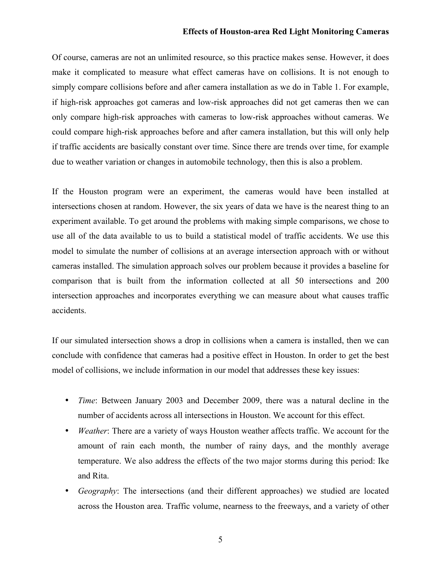#### **Effects of Houston-area Red Light Monitoring Cameras**

Of course, cameras are not an unlimited resource, so this practice makes sense. However, it does make it complicated to measure what effect cameras have on collisions. It is not enough to simply compare collisions before and after camera installation as we do in Table 1. For example, if high-risk approaches got cameras and low-risk approaches did not get cameras then we can only compare high-risk approaches with cameras to low-risk approaches without cameras. We could compare high-risk approaches before and after camera installation, but this will only help if traffic accidents are basically constant over time. Since there are trends over time, for example due to weather variation or changes in automobile technology, then this is also a problem.

If the Houston program were an experiment, the cameras would have been installed at intersections chosen at random. However, the six years of data we have is the nearest thing to an experiment available. To get around the problems with making simple comparisons, we chose to use all of the data available to us to build a statistical model of traffic accidents. We use this model to simulate the number of collisions at an average intersection approach with or without cameras installed. The simulation approach solves our problem because it provides a baseline for comparison that is built from the information collected at all 50 intersections and 200 intersection approaches and incorporates everything we can measure about what causes traffic accidents.

If our simulated intersection shows a drop in collisions when a camera is installed, then we can conclude with confidence that cameras had a positive effect in Houston. In order to get the best model of collisions, we include information in our model that addresses these key issues:

- *Time*: Between January 2003 and December 2009, there was a natural decline in the number of accidents across all intersections in Houston. We account for this effect.
- *Weather*: There are a variety of ways Houston weather affects traffic. We account for the amount of rain each month, the number of rainy days, and the monthly average temperature. We also address the effects of the two major storms during this period: Ike and Rita.
- *Geography*: The intersections (and their different approaches) we studied are located across the Houston area. Traffic volume, nearness to the freeways, and a variety of other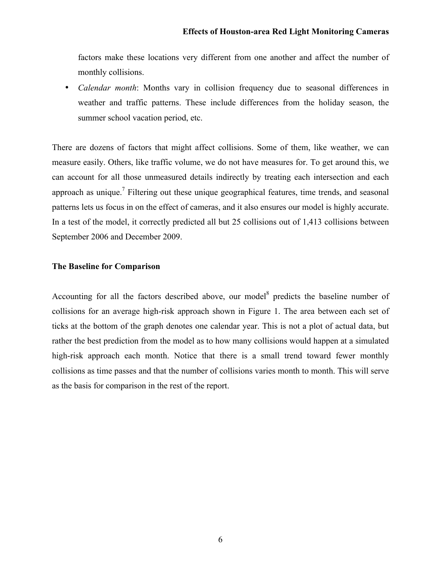factors make these locations very different from one another and affect the number of monthly collisions.

• *Calendar month*: Months vary in collision frequency due to seasonal differences in weather and traffic patterns. These include differences from the holiday season, the summer school vacation period, etc.

There are dozens of factors that might affect collisions. Some of them, like weather, we can measure easily. Others, like traffic volume, we do not have measures for. To get around this, we can account for all those unmeasured details indirectly by treating each intersection and each approach as unique.<sup>7</sup> Filtering out these unique geographical features, time trends, and seasonal patterns lets us focus in on the effect of cameras, and it also ensures our model is highly accurate. In a test of the model, it correctly predicted all but 25 collisions out of 1,413 collisions between September 2006 and December 2009.

#### **The Baseline for Comparison**

Accounting for all the factors described above, our model<sup>8</sup> predicts the baseline number of collisions for an average high-risk approach shown in Figure 1. The area between each set of ticks at the bottom of the graph denotes one calendar year. This is not a plot of actual data, but rather the best prediction from the model as to how many collisions would happen at a simulated high-risk approach each month. Notice that there is a small trend toward fewer monthly collisions as time passes and that the number of collisions varies month to month. This will serve as the basis for comparison in the rest of the report.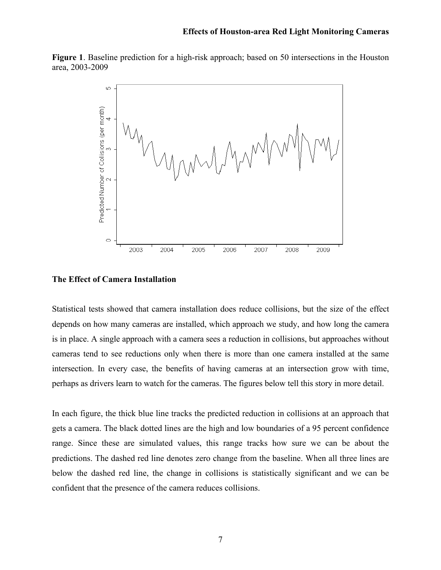**Figure 1**. Baseline prediction for a high-risk approach; based on 50 intersections in the Houston area, 2003-2009



#### **The Effect of Camera Installation**

Statistical tests showed that camera installation does reduce collisions, but the size of the effect depends on how many cameras are installed, which approach we study, and how long the camera is in place. A single approach with a camera sees a reduction in collisions, but approaches without cameras tend to see reductions only when there is more than one camera installed at the same intersection. In every case, the benefits of having cameras at an intersection grow with time, perhaps as drivers learn to watch for the cameras. The figures below tell this story in more detail.

In each figure, the thick blue line tracks the predicted reduction in collisions at an approach that gets a camera. The black dotted lines are the high and low boundaries of a 95 percent confidence range. Since these are simulated values, this range tracks how sure we can be about the predictions. The dashed red line denotes zero change from the baseline. When all three lines are below the dashed red line, the change in collisions is statistically significant and we can be confident that the presence of the camera reduces collisions.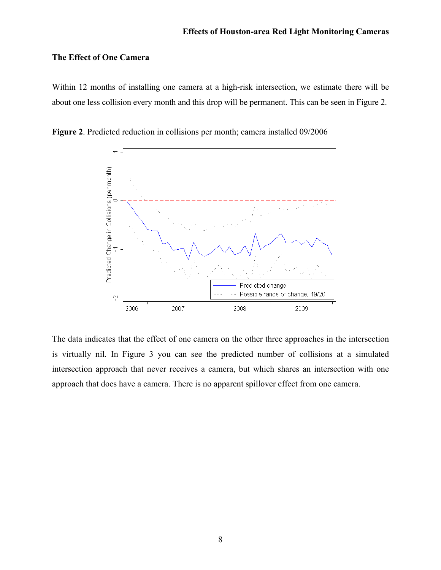#### **The Effect of One Camera**

Within 12 months of installing one camera at a high-risk intersection, we estimate there will be about one less collision every month and this drop will be permanent. This can be seen in Figure 2.



**Figure 2**. Predicted reduction in collisions per month; camera installed 09/2006

The data indicates that the effect of one camera on the other three approaches in the intersection is virtually nil. In Figure 3 you can see the predicted number of collisions at a simulated intersection approach that never receives a camera, but which shares an intersection with one approach that does have a camera. There is no apparent spillover effect from one camera.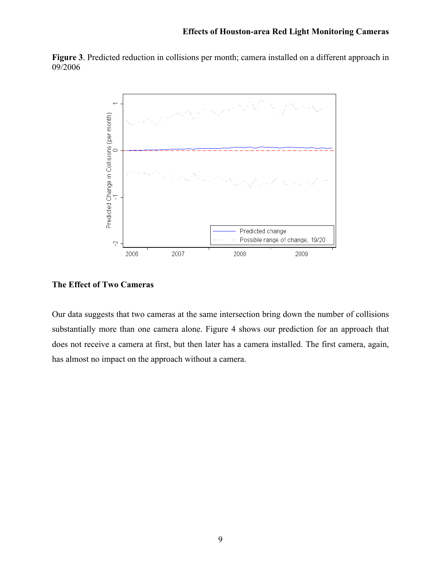**Figure 3**. Predicted reduction in collisions per month; camera installed on a different approach in 09/2006



#### **The Effect of Two Cameras**

Our data suggests that two cameras at the same intersection bring down the number of collisions substantially more than one camera alone. Figure 4 shows our prediction for an approach that does not receive a camera at first, but then later has a camera installed. The first camera, again, has almost no impact on the approach without a camera.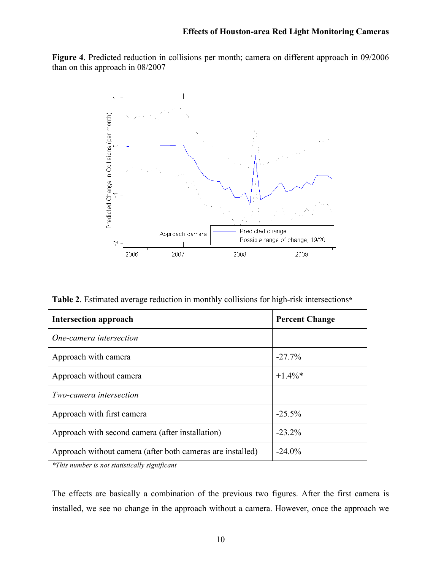**Figure 4**. Predicted reduction in collisions per month; camera on different approach in 09/2006 than on this approach in 08/2007



**Table 2**. Estimated average reduction in monthly collisions for high-risk intersections**\***

| <b>Intersection approach</b>                               | <b>Percent Change</b> |  |
|------------------------------------------------------------|-----------------------|--|
| One-camera intersection                                    |                       |  |
| Approach with camera                                       | $-27.7%$              |  |
| Approach without camera                                    | $+1.4\%*$             |  |
| <i>Two-camera intersection</i>                             |                       |  |
| Approach with first camera                                 | $-25.5%$              |  |
| Approach with second camera (after installation)           | $-23.2\%$             |  |
| Approach without camera (after both cameras are installed) | $-24.0\%$             |  |

*\*This number is not statistically significant*

The effects are basically a combination of the previous two figures. After the first camera is installed, we see no change in the approach without a camera. However, once the approach we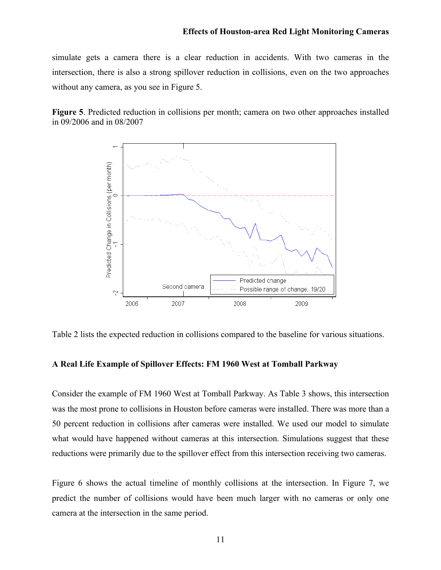simulate gets a camera there is a clear reduction in accidents. With two cameras in the intersection, there is also a strong spillover reduction in collisions, even on the two approaches without any camera, as you see in Figure 5.

**Figure 5**. Predicted reduction in collisions per month; camera on two other approaches installed in 09/2006 and in 08/2007



Table 2 lists the expected reduction in collisions compared to the baseline for various situations.

#### **A Real Life Example of Spillover Effects: FM 1960 West at Tomball Parkway**

Consider the example of FM 1960 West at Tomball Parkway. As Table 3 shows, this intersection was the most prone to collisions in Houston before cameras were installed. There was more than a 50 percent reduction in collisions after cameras were installed. We used our model to simulate what would have happened without cameras at this intersection. Simulations suggest that these reductions were primarily due to the spillover effect from this intersection receiving two cameras.

Figure 6 shows the actual timeline of monthly collisions at the intersection. In Figure 7, we predict the number of collisions would have been much larger with no cameras or only one camera at the intersection in the same period.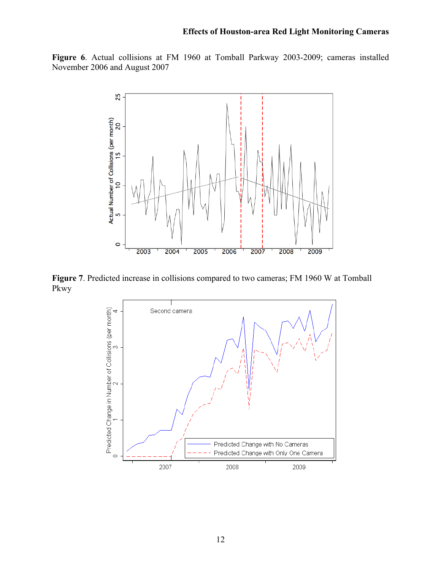**Figure 6**. Actual collisions at FM 1960 at Tomball Parkway 2003-2009; cameras installed November 2006 and August 2007



**Figure 7**. Predicted increase in collisions compared to two cameras; FM 1960 W at Tomball Pkwy

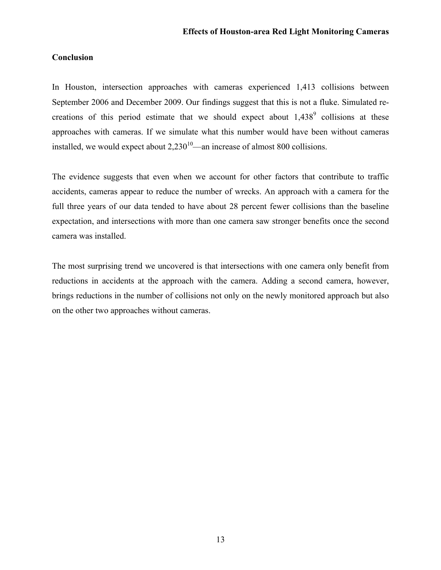#### **Conclusion**

In Houston, intersection approaches with cameras experienced 1,413 collisions between September 2006 and December 2009. Our findings suggest that this is not a fluke. Simulated recreations of this period estimate that we should expect about  $1,438^9$  collisions at these approaches with cameras. If we simulate what this number would have been without cameras installed, we would expect about  $2,230^{10}$ —an increase of almost 800 collisions.

The evidence suggests that even when we account for other factors that contribute to traffic accidents, cameras appear to reduce the number of wrecks. An approach with a camera for the full three years of our data tended to have about 28 percent fewer collisions than the baseline expectation, and intersections with more than one camera saw stronger benefits once the second camera was installed.

The most surprising trend we uncovered is that intersections with one camera only benefit from reductions in accidents at the approach with the camera. Adding a second camera, however, brings reductions in the number of collisions not only on the newly monitored approach but also on the other two approaches without cameras.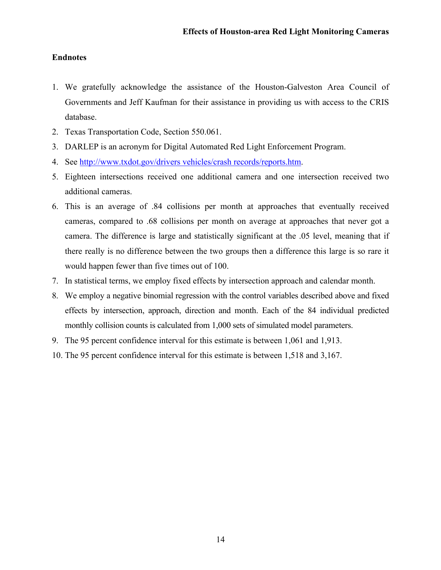### **Endnotes**

- 1. We gratefully acknowledge the assistance of the Houston-Galveston Area Council of Governments and Jeff Kaufman for their assistance in providing us with access to the CRIS database.
- 2. Texas Transportation Code, Section 550.061.
- 3. DARLEP is an acronym for Digital Automated Red Light Enforcement Program.
- 4. See http://www.txdot.gov/drivers vehicles/crash records/reports.htm.
- 5. Eighteen intersections received one additional camera and one intersection received two additional cameras.
- 6. This is an average of .84 collisions per month at approaches that eventually received cameras, compared to .68 collisions per month on average at approaches that never got a camera. The difference is large and statistically significant at the .05 level, meaning that if there really is no difference between the two groups then a difference this large is so rare it would happen fewer than five times out of 100.
- 7. In statistical terms, we employ fixed effects by intersection approach and calendar month.
- 8. We employ a negative binomial regression with the control variables described above and fixed effects by intersection, approach, direction and month. Each of the 84 individual predicted monthly collision counts is calculated from 1,000 sets of simulated model parameters.
- 9. The 95 percent confidence interval for this estimate is between 1,061 and 1,913.
- 10. The 95 percent confidence interval for this estimate is between 1,518 and 3,167.